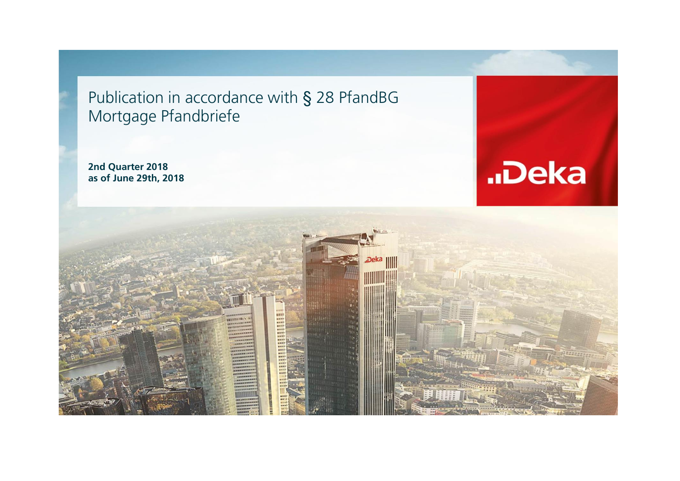Publication in accordance with § 28 PfandBG Mortgage Pfandbriefe

**2nd Quarter 2018 as of June 29th, 2018**



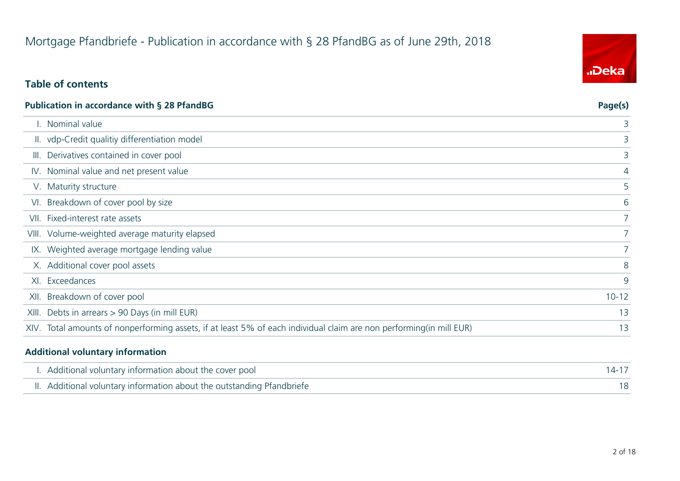## Mortgage Pfandbriefe - Publication in accordance with § 28 PfandBG as of June 29th, 2018

#### **Table of contents**

| Publication in accordance with § 28 PfandBG                                                                         | Page(s)        |
|---------------------------------------------------------------------------------------------------------------------|----------------|
| I. Nominal value                                                                                                    | 3              |
| II. vdp-Credit qualitiy differentiation model                                                                       | 3              |
| III. Derivatives contained in cover pool                                                                            | 3              |
| IV. Nominal value and net present value                                                                             | 4              |
| V. Maturity structure                                                                                               | 5              |
| VI. Breakdown of cover pool by size                                                                                 | 6              |
| VII. Fixed-interest rate assets                                                                                     |                |
| VIII. Volume-weighted average maturity elapsed                                                                      | 7 <sup>1</sup> |
| IX. Weighted average mortgage lending value                                                                         |                |
| X. Additional cover pool assets                                                                                     | 8              |
| XI. Exceedances                                                                                                     | 9              |
| XII. Breakdown of cover pool                                                                                        | $10 - 12$      |
| XIII. Debts in arrears > 90 Days (in mill EUR)                                                                      | 13             |
| XIV. Total amounts of nonperforming assets, if at least 5% of each individual claim are non performing(in mill EUR) | 13             |
|                                                                                                                     |                |

#### **Additional voluntary information**

| I. Additional voluntary information about the cover pool               | $14 - 17$ |
|------------------------------------------------------------------------|-----------|
| II. Additional voluntary information about the outstanding Pfandbriefe |           |

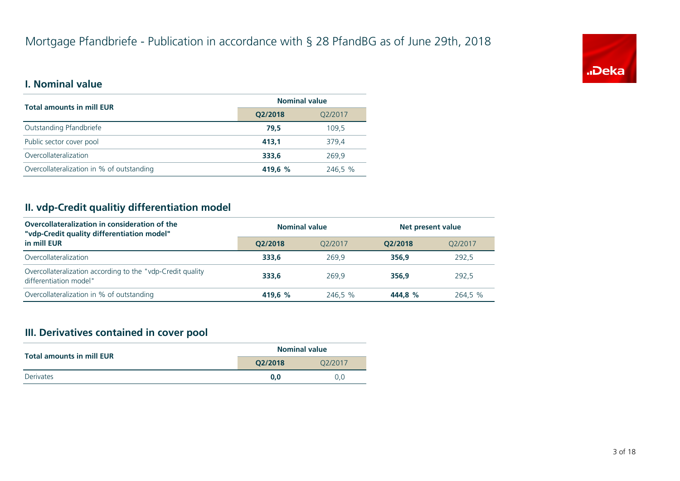

#### **I. Nominal value**

| <b>Total amounts in mill EUR</b>          | <b>Nominal value</b> |         |  |
|-------------------------------------------|----------------------|---------|--|
|                                           | O2/2018<br>Q2/2017   |         |  |
| Outstanding Pfandbriefe                   | 79.5                 | 109,5   |  |
| Public sector cover pool                  | 413.1                | 379,4   |  |
| Overcollateralization                     | 333,6                | 269,9   |  |
| Overcollateralization in % of outstanding | 419.6 %              | 246,5 % |  |

#### **II. vdp-Credit qualitiy differentiation model**

| Overcollateralization in consideration of the<br>"vdp-Credit quality differentiation model" | <b>Nominal value</b> |         |         | Net present value |  |
|---------------------------------------------------------------------------------------------|----------------------|---------|---------|-------------------|--|
| in mill EUR                                                                                 | O2/2018              | O2/2017 | O2/2018 | O2/2017           |  |
| Overcollateralization                                                                       | 333.6                | 269.9   | 356.9   | 292,5             |  |
| Overcollateralization according to the "vdp-Credit quality<br>differentiation model"        | 333.6                | 269.9   | 356.9   | 292.5             |  |
| Overcollateralization in % of outstanding                                                   | 419.6 %              | 246.5 % | 444.8 % | 264.5 %           |  |

#### **III. Derivatives contained in cover pool**

| <b>Total amounts in mill EUR</b> | <b>Nominal value</b> |         |  |  |
|----------------------------------|----------------------|---------|--|--|
|                                  | O2/2018              | Q2/2017 |  |  |
| <b>Derivates</b>                 | 0.0                  | 0.0     |  |  |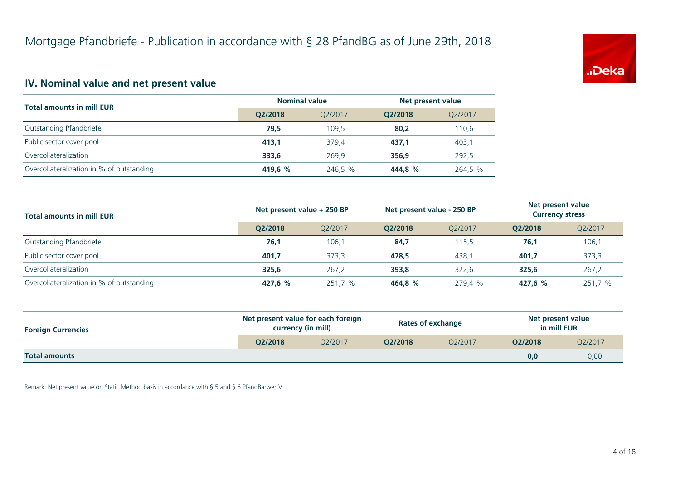

#### **IV. Nominal value and net present value**

| <b>Total amounts in mill EUR</b>          | <b>Nominal value</b> |         | Net present value |         |
|-------------------------------------------|----------------------|---------|-------------------|---------|
|                                           | O2/2018              | O2/2017 | O2/2018           | Q2/2017 |
| Outstanding Pfandbriefe                   | 79,5                 | 109.5   | 80.2              | 110,6   |
| Public sector cover pool                  | 413.1                | 379.4   | 437,1             | 403,1   |
| Overcollateralization                     | 333,6                | 269.9   | 356.9             | 292,5   |
| Overcollateralization in % of outstanding | 419.6 %              | 246.5 % | 444.8 %           | 264,5 % |

| <b>Total amounts in mill EUR</b>          | Net present value + 250 BP |         | Net present value - 250 BP |         | Net present value<br><b>Currency stress</b> |         |
|-------------------------------------------|----------------------------|---------|----------------------------|---------|---------------------------------------------|---------|
|                                           | O2/2018                    | O2/2017 | O2/2018                    | O2/2017 | O2/2018                                     | Q2/2017 |
| Outstanding Pfandbriefe                   | 76,1                       | 106,1   | 84,7                       | 115.5   | 76,1                                        | 106,1   |
| Public sector cover pool                  | 401,7                      | 373.3   | 478.5                      | 438.1   | 401.7                                       | 373,3   |
| Overcollateralization                     | 325,6                      | 267,2   | 393,8                      | 322,6   | 325.6                                       | 267,2   |
| Overcollateralization in % of outstanding | 427.6 %                    | 251,7 % | 464.8 %                    | 279.4 % | 427.6 %                                     | 251,7 % |

| <b>Foreign Currencies</b> | Net present value for each foreign<br>currency (in mill) |         | <b>Rates of exchange</b> |                      | Net present value<br>in mill EUR |         |
|---------------------------|----------------------------------------------------------|---------|--------------------------|----------------------|----------------------------------|---------|
|                           | O2/2018                                                  | O2/2017 | O2/2018                  | O <sub>2</sub> /2017 | O2/2018                          | 02/2017 |
| <b>Total amounts</b>      |                                                          |         |                          |                      | 0,0                              | 0,00    |

Remark: Net present value on Static Method basis in accordance with § 5 and § 6 PfandBarwertV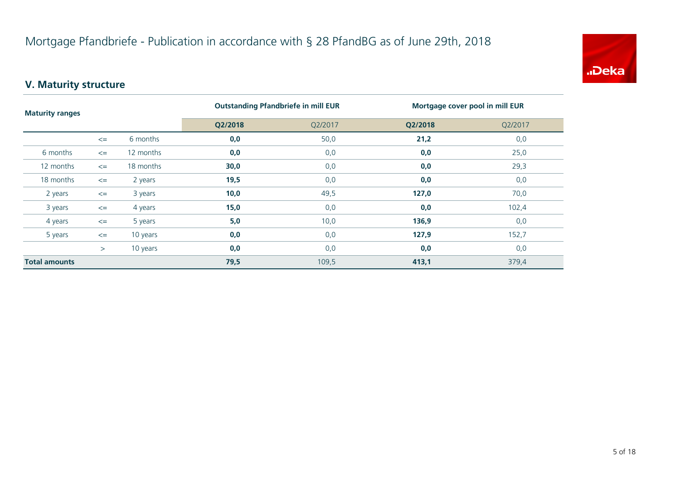

#### **V. Maturity structure**

| <b>Maturity ranges</b> |        | <b>Outstanding Pfandbriefe in mill EUR</b> |         | Mortgage cover pool in mill EUR |         |         |
|------------------------|--------|--------------------------------------------|---------|---------------------------------|---------|---------|
|                        |        |                                            | Q2/2018 | Q2/2017                         | Q2/2018 | Q2/2017 |
|                        | $\leq$ | 6 months                                   | 0,0     | 50,0                            | 21,2    | 0,0     |
| 6 months               | $\leq$ | 12 months                                  | 0,0     | 0,0                             | 0,0     | 25,0    |
| 12 months              | $\leq$ | 18 months                                  | 30,0    | 0,0                             | 0,0     | 29,3    |
| 18 months              | $\leq$ | 2 years                                    | 19,5    | 0,0                             | 0,0     | 0,0     |
| 2 years                | $\leq$ | 3 years                                    | 10,0    | 49,5                            | 127,0   | 70,0    |
| 3 years                | $\leq$ | 4 years                                    | 15,0    | 0,0                             | 0,0     | 102,4   |
| 4 years                | $\leq$ | 5 years                                    | 5,0     | 10,0                            | 136,9   | 0,0     |
| 5 years                | $\leq$ | 10 years                                   | 0,0     | 0,0                             | 127,9   | 152,7   |
|                        | >      | 10 years                                   | 0,0     | 0,0                             | 0,0     | 0,0     |
| <b>Total amounts</b>   |        |                                            | 79,5    | 109,5                           | 413,1   | 379,4   |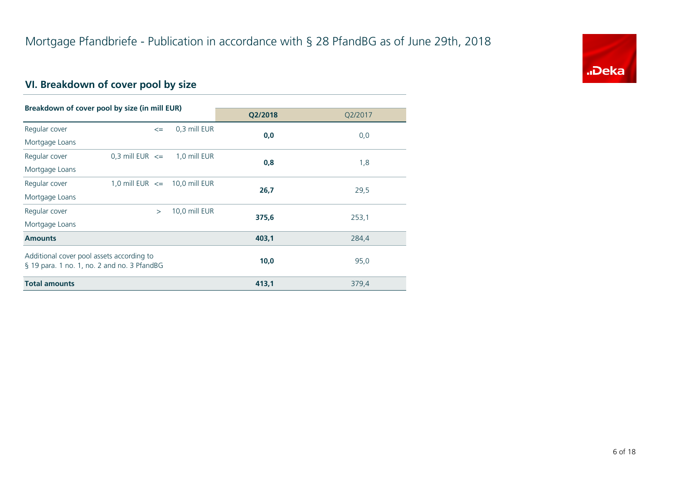

## **VI. Breakdown of cover pool by size**

| Breakdown of cover pool by size (in mill EUR)                                            |                                   |               |         |         |
|------------------------------------------------------------------------------------------|-----------------------------------|---------------|---------|---------|
|                                                                                          |                                   |               | Q2/2018 | Q2/2017 |
| Regular cover                                                                            | $\leq$                            | 0.3 mill EUR  | 0,0     | 0,0     |
| Mortgage Loans                                                                           |                                   |               |         |         |
| Regular cover                                                                            | 0,3 mill EUR $\leq$               | 1,0 mill EUR  |         |         |
| Mortgage Loans                                                                           |                                   |               | 0,8     | 1,8     |
| Regular cover                                                                            | 1,0 mill EUR $\leq$ 10,0 mill EUR |               | 26,7    |         |
| Mortgage Loans                                                                           |                                   |               |         | 29,5    |
| Regular cover                                                                            | $\geq$                            | 10,0 mill EUR |         |         |
| Mortgage Loans                                                                           |                                   |               | 375,6   | 253,1   |
| <b>Amounts</b>                                                                           |                                   |               | 403,1   | 284,4   |
| Additional cover pool assets according to<br>§ 19 para. 1 no. 1, no. 2 and no. 3 PfandBG |                                   |               | 10,0    | 95,0    |
| <b>Total amounts</b>                                                                     |                                   |               | 413,1   | 379,4   |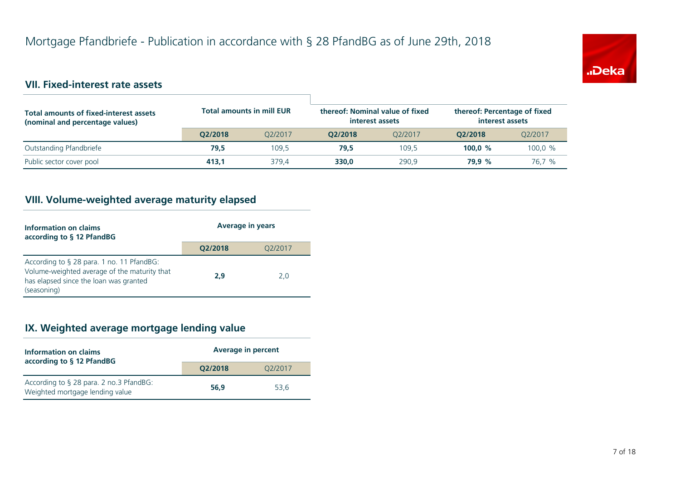

#### **VII. Fixed-interest rate assets**

| <b>Total amounts of fixed-interest assets</b><br>(nominal and percentage values) | <b>Total amounts in mill EUR</b> |         | thereof: Nominal value of fixed<br>interest assets |         | thereof: Percentage of fixed<br>interest assets |                      |
|----------------------------------------------------------------------------------|----------------------------------|---------|----------------------------------------------------|---------|-------------------------------------------------|----------------------|
|                                                                                  | O2/2018                          | 02/2017 | O2/2018                                            | 02/2017 | O2/2018                                         | O <sub>2</sub> /2017 |
| Outstanding Pfandbriefe                                                          | 79.5                             | 109.5   | 79.5                                               | 109.5   | 100.0 $%$                                       | 100,0 %              |
| Public sector cover pool                                                         | 413.1                            | 379.4   | 330.0                                              | 290.9   | 79.9 %                                          | 76.7 %               |

#### **VIII. Volume-weighted average maturity elapsed**

| Information on claims<br>according to § 12 PfandBG                                                                                                 | <b>Average in years</b> |         |  |
|----------------------------------------------------------------------------------------------------------------------------------------------------|-------------------------|---------|--|
|                                                                                                                                                    | Q2/2018                 | O2/2017 |  |
| According to § 28 para. 1 no. 11 PfandBG:<br>Volume-weighted average of the maturity that<br>has elapsed since the loan was granted<br>(seasoning) | 2,9                     | 2,0     |  |

#### **IX. Weighted average mortgage lending value**

| Information on claims<br>according to § 12 PfandBG                         | <b>Average in percent</b> |         |  |
|----------------------------------------------------------------------------|---------------------------|---------|--|
|                                                                            | O2/2018                   | 02/2017 |  |
| According to § 28 para. 2 no.3 PfandBG:<br>Weighted mortgage lending value | 56.9                      | 53.6    |  |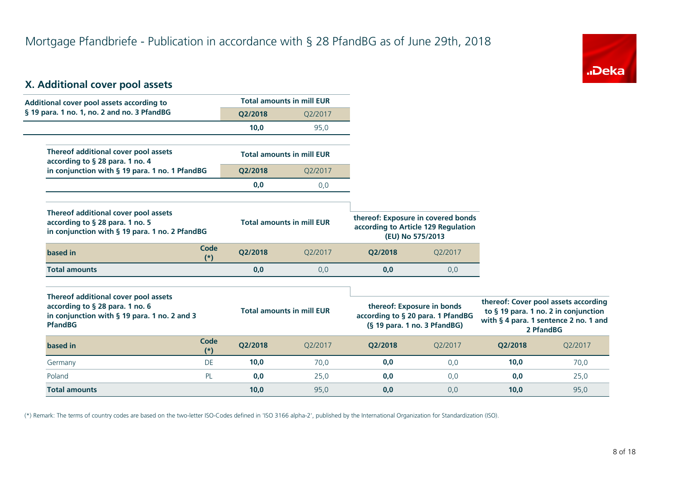

#### **X. Additional cover pool assets**

| Additional cover pool assets according to                                                                                                 |               |         | <b>Total amounts in mill EUR</b> |                                                                                                   |         |         |                                                                                                                                    |
|-------------------------------------------------------------------------------------------------------------------------------------------|---------------|---------|----------------------------------|---------------------------------------------------------------------------------------------------|---------|---------|------------------------------------------------------------------------------------------------------------------------------------|
| § 19 para. 1 no. 1, no. 2 and no. 3 PfandBG                                                                                               |               | Q2/2018 | Q2/2017                          |                                                                                                   |         |         |                                                                                                                                    |
|                                                                                                                                           |               | 10,0    | 95,0                             |                                                                                                   |         |         |                                                                                                                                    |
| Thereof additional cover pool assets<br>according to § 28 para. 1 no. 4                                                                   |               |         | <b>Total amounts in mill EUR</b> |                                                                                                   |         |         |                                                                                                                                    |
| in conjunction with § 19 para. 1 no. 1 PfandBG                                                                                            |               | Q2/2018 | Q2/2017                          |                                                                                                   |         |         |                                                                                                                                    |
|                                                                                                                                           |               | 0,0     | 0,0                              |                                                                                                   |         |         |                                                                                                                                    |
| Thereof additional cover pool assets<br>according to § 28 para. 1 no. 5<br>in conjunction with § 19 para. 1 no. 2 PfandBG                 |               |         | <b>Total amounts in mill EUR</b> | thereof: Exposure in covered bonds<br>according to Article 129 Regulation<br>(EU) No 575/2013     |         |         |                                                                                                                                    |
| based in                                                                                                                                  | Code<br>$(*)$ | Q2/2018 | Q2/2017                          | Q2/2018                                                                                           | Q2/2017 |         |                                                                                                                                    |
| <b>Total amounts</b>                                                                                                                      |               | 0,0     | 0,0                              | 0,0                                                                                               | 0,0     |         |                                                                                                                                    |
| Thereof additional cover pool assets<br>according to § 28 para. 1 no. 6<br>in conjunction with § 19 para. 1 no. 2 and 3<br><b>PfandBG</b> |               |         | <b>Total amounts in mill EUR</b> | thereof: Exposure in bonds<br>according to § 20 para. 1 PfandBG<br>$(S$ 19 para. 1 no. 3 PfandBG) |         |         | thereof: Cover pool assets according<br>to § 19 para. 1 no. 2 in conjunction<br>with § 4 para. 1 sentence 2 no. 1 and<br>2 PfandBG |
| based in                                                                                                                                  | Code<br>$(*)$ | Q2/2018 | Q2/2017                          | Q2/2018                                                                                           | Q2/2017 | Q2/2018 | Q2/2017                                                                                                                            |
| Germany                                                                                                                                   | DE            | 10,0    | 70.0                             | 0,0                                                                                               | 0,0     | 10,0    | 70,0                                                                                                                               |
| Poland                                                                                                                                    | PL            | 0,0     | 25,0                             | 0,0                                                                                               | 0,0     | 0,0     | 25,0                                                                                                                               |
| <b>Total amounts</b>                                                                                                                      |               | 10,0    | 95,0                             | 0,0                                                                                               | 0,0     | 10,0    | 95,0                                                                                                                               |

(\*) Remark: The terms of country codes are based on the two-letter ISO-Codes defined in 'ISO 3166 alpha-2', published by the International Organization for Standardization (ISO).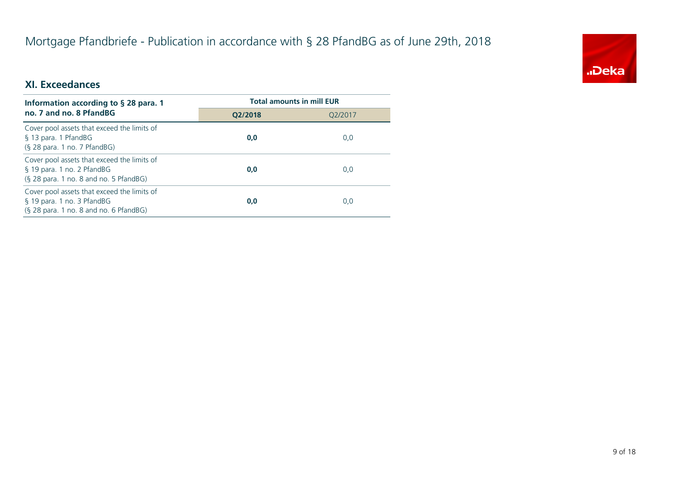# Mortgage Pfandbriefe - Publication in accordance with § 28 PfandBG as of June 29th, 2018



#### **XI. Exceedances**

| Information according to $\S$ 28 para. 1                                                                            | <b>Total amounts in mill EUR</b> |         |  |
|---------------------------------------------------------------------------------------------------------------------|----------------------------------|---------|--|
| no. 7 and no. 8 PfandBG                                                                                             | O2/2018                          | Q2/2017 |  |
| Cover pool assets that exceed the limits of<br>§ 13 para. 1 PfandBG<br>(§ 28 para. 1 no. 7 PfandBG)                 | 0,0                              | 0,0     |  |
| Cover pool assets that exceed the limits of<br>§ 19 para. 1 no. 2 PfandBG<br>(§ 28 para. 1 no. 8 and no. 5 PfandBG) | 0,0                              | 0,0     |  |
| Cover pool assets that exceed the limits of<br>§ 19 para. 1 no. 3 PfandBG<br>(§ 28 para. 1 no. 8 and no. 6 PfandBG) | 0,0                              | 0,0     |  |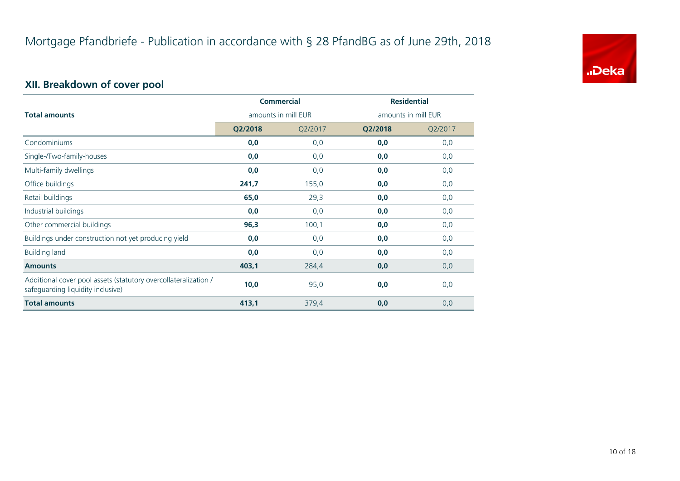

## **XII. Breakdown of cover pool**

|                                                                                                      | <b>Commercial</b>   |         | <b>Residential</b>  |         |
|------------------------------------------------------------------------------------------------------|---------------------|---------|---------------------|---------|
| <b>Total amounts</b>                                                                                 | amounts in mill EUR |         | amounts in mill EUR |         |
|                                                                                                      | Q2/2018             | Q2/2017 | Q2/2018             | Q2/2017 |
| Condominiums                                                                                         | 0,0                 | 0,0     | 0,0                 | 0,0     |
| Single-/Two-family-houses                                                                            | 0,0                 | 0,0     | 0,0                 | 0,0     |
| Multi-family dwellings                                                                               | 0,0                 | 0,0     | 0,0                 | 0,0     |
| Office buildings                                                                                     | 241,7               | 155,0   | 0,0                 | 0,0     |
| Retail buildings                                                                                     | 65,0                | 29,3    | 0,0                 | 0,0     |
| Industrial buildings                                                                                 | 0,0                 | 0,0     | 0,0                 | 0,0     |
| Other commercial buildings                                                                           | 96,3                | 100,1   | 0,0                 | 0,0     |
| Buildings under construction not yet producing yield                                                 | 0,0                 | 0,0     | 0,0                 | 0,0     |
| <b>Building land</b>                                                                                 | 0,0                 | 0,0     | 0,0                 | 0,0     |
| <b>Amounts</b>                                                                                       | 403,1               | 284,4   | 0,0                 | 0,0     |
| Additional cover pool assets (statutory overcollateralization /<br>safeguarding liquidity inclusive) | 10,0                | 95,0    | 0,0                 | 0,0     |
| <b>Total amounts</b>                                                                                 | 413,1               | 379,4   | 0,0                 | 0,0     |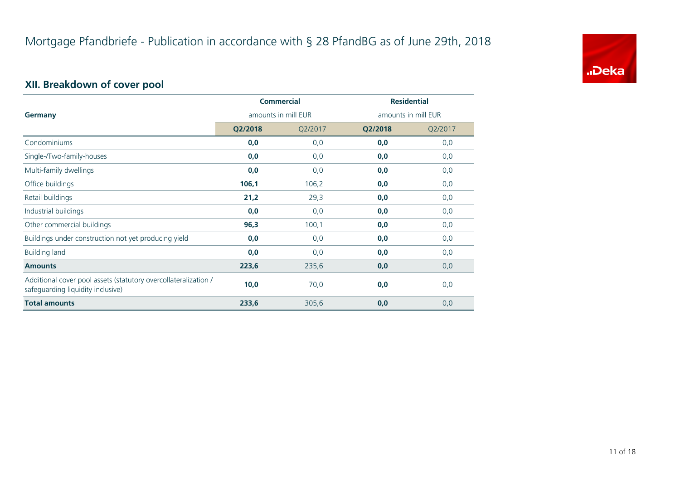

## **XII. Breakdown of cover pool**

|                                                                                                      | <b>Commercial</b> |                     | <b>Residential</b> |         |
|------------------------------------------------------------------------------------------------------|-------------------|---------------------|--------------------|---------|
| amounts in mill EUR<br>Germany                                                                       |                   | amounts in mill EUR |                    |         |
|                                                                                                      | Q2/2018           | Q2/2017             | Q2/2018            | Q2/2017 |
| Condominiums                                                                                         | 0,0               | 0,0                 | 0,0                | 0,0     |
| Single-/Two-family-houses                                                                            | 0,0               | 0,0                 | 0,0                | 0,0     |
| Multi-family dwellings                                                                               | 0,0               | 0,0                 | 0,0                | 0,0     |
| Office buildings                                                                                     | 106,1             | 106,2               | 0,0                | 0,0     |
| Retail buildings                                                                                     | 21,2              | 29,3                | 0,0                | 0,0     |
| Industrial buildings                                                                                 | 0,0               | 0,0                 | 0,0                | 0,0     |
| Other commercial buildings                                                                           | 96,3              | 100,1               | 0,0                | 0,0     |
| Buildings under construction not yet producing yield                                                 | 0,0               | 0,0                 | 0,0                | 0,0     |
| <b>Building land</b>                                                                                 | 0,0               | 0,0                 | 0,0                | 0,0     |
| <b>Amounts</b>                                                                                       | 223,6             | 235,6               | 0,0                | 0,0     |
| Additional cover pool assets (statutory overcollateralization /<br>safeguarding liquidity inclusive) | 10,0              | 70,0                | 0,0                | 0,0     |
| <b>Total amounts</b>                                                                                 | 233,6             | 305,6               | 0,0                | 0,0     |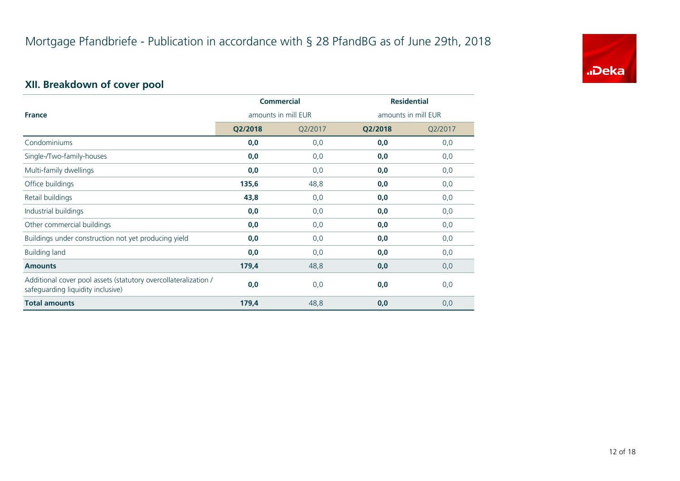

## **XII. Breakdown of cover pool**

|                                                                                                      | <b>Commercial</b> |                     | <b>Residential</b> |         |
|------------------------------------------------------------------------------------------------------|-------------------|---------------------|--------------------|---------|
| <b>France</b><br>amounts in mill EUR                                                                 |                   | amounts in mill EUR |                    |         |
|                                                                                                      | Q2/2018           | Q2/2017             | Q2/2018            | Q2/2017 |
| Condominiums                                                                                         | 0,0               | 0,0                 | 0,0                | 0,0     |
| Single-/Two-family-houses                                                                            | 0,0               | 0,0                 | 0,0                | 0,0     |
| Multi-family dwellings                                                                               | 0,0               | 0,0                 | 0,0                | 0,0     |
| Office buildings                                                                                     | 135,6             | 48,8                | 0,0                | 0,0     |
| Retail buildings                                                                                     | 43,8              | 0,0                 | 0,0                | 0,0     |
| Industrial buildings                                                                                 | 0,0               | 0,0                 | 0,0                | 0,0     |
| Other commercial buildings                                                                           | 0,0               | 0,0                 | 0,0                | 0,0     |
| Buildings under construction not yet producing yield                                                 | 0,0               | 0,0                 | 0,0                | 0,0     |
| <b>Building land</b>                                                                                 | 0,0               | 0,0                 | 0,0                | 0,0     |
| <b>Amounts</b>                                                                                       | 179,4             | 48,8                | 0,0                | 0,0     |
| Additional cover pool assets (statutory overcollateralization /<br>safeguarding liquidity inclusive) | 0,0               | 0,0                 | 0,0                | 0,0     |
| <b>Total amounts</b>                                                                                 | 179,4             | 48,8                | 0,0                | 0,0     |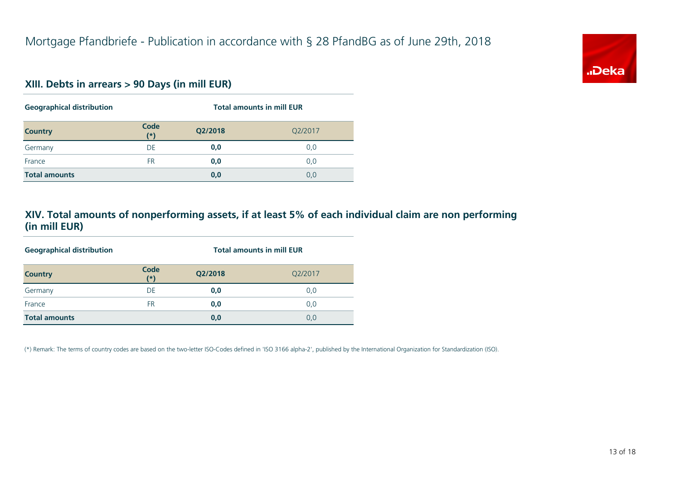#### **XIII. Debts in arrears > 90 Days (in mill EUR)**

| <b>Geographical distribution</b> |             | <b>Total amounts in mill EUR</b> |         |  |
|----------------------------------|-------------|----------------------------------|---------|--|
| <b>Country</b>                   | Code<br>(x) | Q2/2018                          | Q2/2017 |  |
| Germany                          | DE          | 0,0                              | 0,0     |  |
| France                           | <b>FR</b>   | 0,0                              | 0,0     |  |
| <b>Total amounts</b>             |             | 0,0                              | 0,0     |  |

#### **XIV. Total amounts of nonperforming assets, if at least 5% of each individual claim are non performing (in mill EUR)**

| <b>Geographical distribution</b> |               | <b>Total amounts in mill EUR</b> |         |  |
|----------------------------------|---------------|----------------------------------|---------|--|
| <b>Country</b>                   | Code<br>$(*)$ | Q2/2018                          | Q2/2017 |  |
| Germany                          | DE            | 0,0                              | 0,0     |  |
| France                           | FR.           | 0,0                              | 0,0     |  |
| <b>Total amounts</b>             |               | 0,0                              | 0,0     |  |

(\*) Remark: The terms of country codes are based on the two-letter ISO-Codes defined in 'ISO 3166 alpha-2', published by the International Organization for Standardization (ISO).

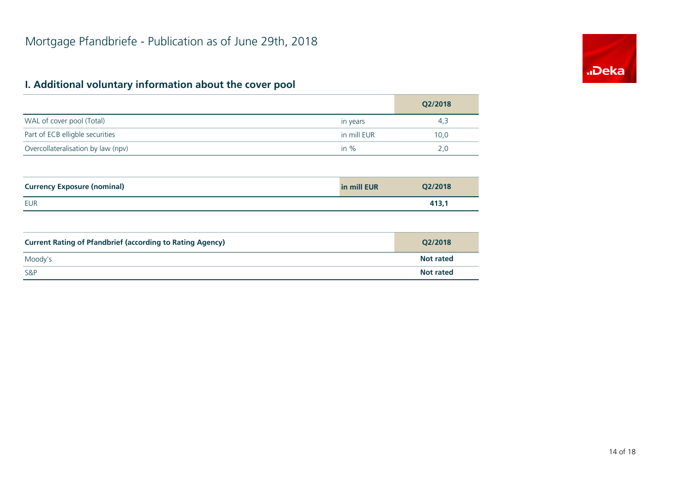# **.Deka**

## **I. Additional voluntary information about the cover pool**

|                                    |             | Q2/2018 |
|------------------------------------|-------------|---------|
| WAL of cover pool (Total)          | in years    | 4,3     |
| Part of ECB elligble securities    | in mill EUR | 10,0    |
| Overcollateralisation by law (npv) | in $%$      | 2,0     |
|                                    |             |         |
| <b>Currency Exposure (nominal)</b> | in mill EUR | Q2/2018 |

| Carrency Exposure (Hominiar) | TII IIIIII EUN | <b>VEIZUTO</b>      |
|------------------------------|----------------|---------------------|
| <b>EUR</b>                   |                | .<br>. . <i>.</i> . |

| <b>Current Rating of Pfandbrief (according to Rating Agency)</b> | O2/2018          |
|------------------------------------------------------------------|------------------|
| Moody's                                                          | <b>Not rated</b> |
| S&P                                                              | <b>Not rated</b> |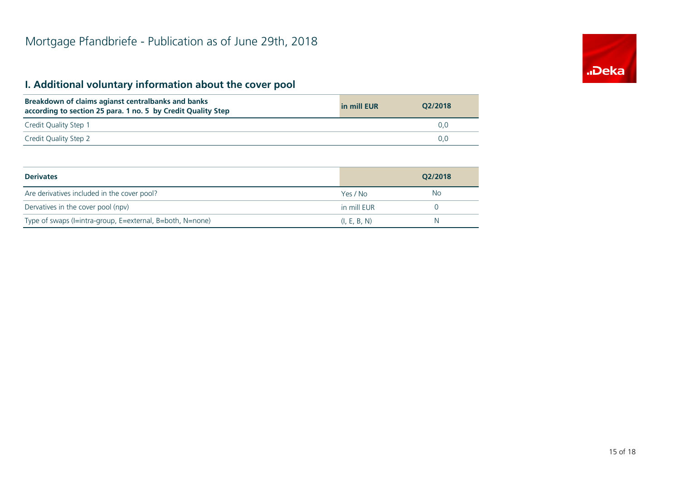## **I. Additional voluntary information about the cover pool**

| Breakdown of claims agianst centralbanks and banks<br>according to section 25 para. 1 no. 5 by Credit Quality Step | in mill EUR | O2/2018 |
|--------------------------------------------------------------------------------------------------------------------|-------------|---------|
| Credit Quality Step 1                                                                                              |             | 0.0     |
| Credit Quality Step 2                                                                                              |             | 0.0     |

| <b>Derivates</b>                                          |              | O2/2018 |
|-----------------------------------------------------------|--------------|---------|
| Are derivatives included in the cover pool?               | Yes / No     | No      |
| Dervatives in the cover pool (npv)                        | in mill EUR  |         |
| Type of swaps (I=intra-group, E=external, B=both, N=none) | (I, E, B, N) | N       |

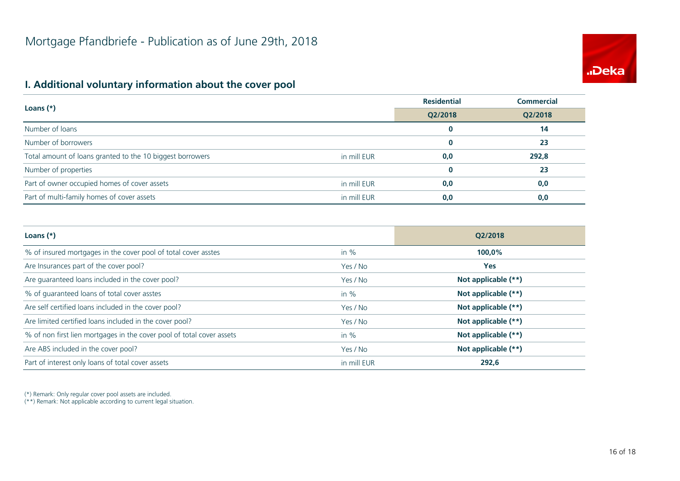# **.**<br>Deka

#### **I. Additional voluntary information about the cover pool**

|                                                           |             | <b>Residential</b> | <b>Commercial</b> |
|-----------------------------------------------------------|-------------|--------------------|-------------------|
| Loans $(*)$                                               | Q2/2018     | Q2/2018            |                   |
| Number of loans                                           |             | $\bf{0}$           | 14                |
| Number of borrowers                                       |             | $\bf{0}$           | 23                |
| Total amount of loans granted to the 10 biggest borrowers | in mill EUR | 0,0                | 292,8             |
| Number of properties                                      |             | $\bf{0}$           | 23                |
| Part of owner occupied homes of cover assets              | in mill EUR | 0,0                | 0,0               |
| Part of multi-family homes of cover assets                | in mill EUR | 0,0                | 0,0               |

| Loans $(*)$                                                           |             | O2/2018             |
|-----------------------------------------------------------------------|-------------|---------------------|
| % of insured mortgages in the cover pool of total cover asstes        | in $%$      | 100,0%              |
| Are Insurances part of the cover pool?                                | Yes / No    | <b>Yes</b>          |
| Are guaranteed loans included in the cover pool?                      | Yes / No    | Not applicable (**) |
| % of guaranteed loans of total cover asstes                           | in $%$      | Not applicable (**) |
| Are self certified loans included in the cover pool?                  | Yes / No    | Not applicable (**) |
| Are limited certified loans included in the cover pool?               | Yes / No    | Not applicable (**) |
| % of non first lien mortgages in the cover pool of total cover assets | in $%$      | Not applicable (**) |
| Are ABS included in the cover pool?                                   | Yes / No    | Not applicable (**) |
| Part of interest only loans of total cover assets                     | in mill EUR | 292,6               |

(\*) Remark: Only regular cover pool assets are included.

(\*\*) Remark: Not applicable according to current legal situation.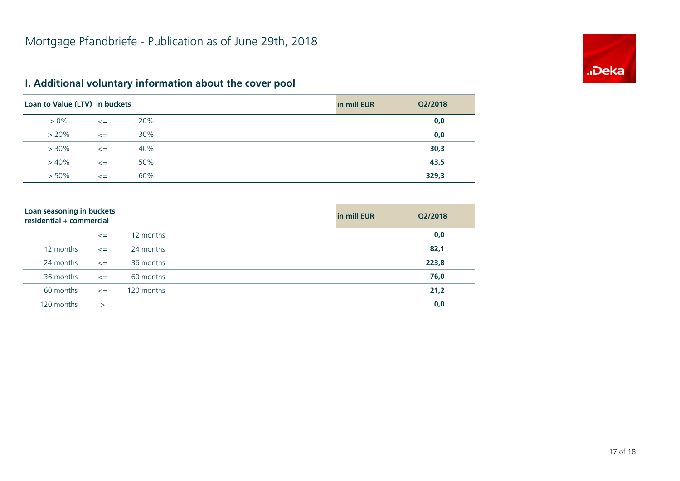

### **I. Additional voluntary information about the cover pool**

| Loan to Value (LTV) in buckets |        |     | in mill EUR | Q2/2018 |
|--------------------------------|--------|-----|-------------|---------|
| $> 0\%$                        | $\leq$ | 20% |             | 0,0     |
| $> 20\%$                       | $\leq$ | 30% |             | 0,0     |
| $> 30\%$                       | $\leq$ | 40% |             | 30,3    |
| $>40\%$                        | $\leq$ | 50% |             | 43,5    |
| $> 50\%$                       | $\leq$ | 60% |             | 329,3   |

| Loan seasoning in buckets<br>residential + commercial |              |            | in mill EUR | Q2/2018 |
|-------------------------------------------------------|--------------|------------|-------------|---------|
|                                                       | $\leq$       | 12 months  |             | 0,0     |
| 12 months                                             | $\leq$       | 24 months  |             | 82,1    |
| 24 months                                             | $\leq$       | 36 months  |             | 223,8   |
| 36 months                                             | $\leq$       | 60 months  |             | 76,0    |
| 60 months                                             | $\leq$       | 120 months |             | 21,2    |
| 120 months                                            | $\mathbf{I}$ |            |             | 0,0     |